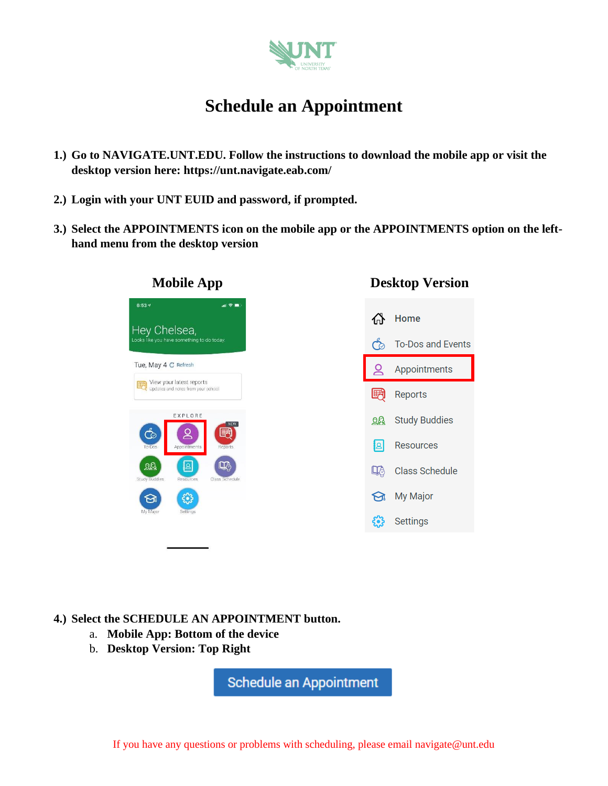

# **Schedule an Appointment**

- **1.) Go to NAVIGATE.UNT.EDU. Follow the instructions to download the mobile app or visit the desktop version here: https://unt.navigate.eab.com/**
- **2.) Login with your UNT EUID and password, if prompted.**
- **3.) Select the APPOINTMENTS icon on the mobile app or the APPOINTMENTS option on the lefthand menu from the desktop version**



Home क़ To-Dos and Events ර්  $\alpha$ Appointments 囲 Reports **RA** Study Buddies  $|B|$ **Resources LA** Class Schedule My Major Settings કેરે

### **4.) Select the SCHEDULE AN APPOINTMENT button.**

- a. **Mobile App: Bottom of the device**
- b. **Desktop Version: Top Right**

Schedule an Appointment

If you have any questions or problems with scheduling, please email navigate@unt.edu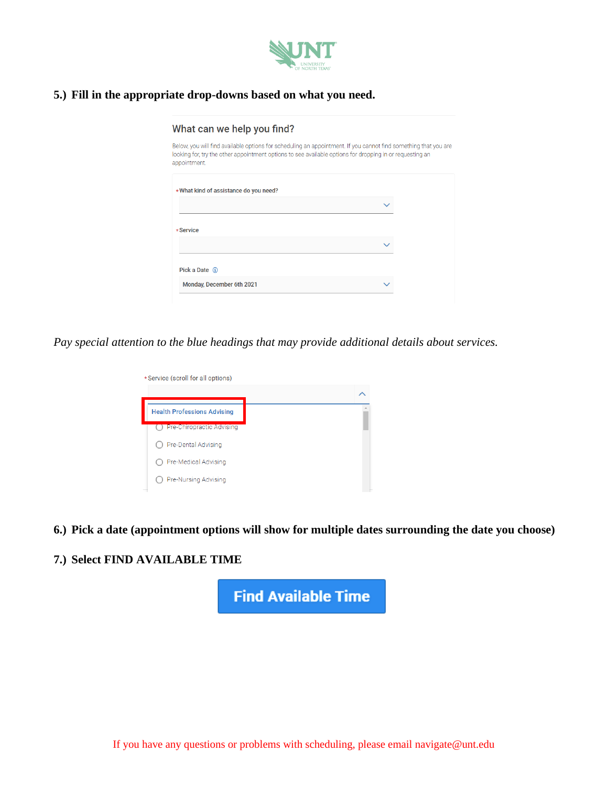

# **5.) Fill in the appropriate drop-downs based on what you need.**

| What can we help you find?                                                                                                                                                                                                                  |  |
|---------------------------------------------------------------------------------------------------------------------------------------------------------------------------------------------------------------------------------------------|--|
| Below, you will find available options for scheduling an appointment. If you cannot find something that you are<br>looking for, try the other appointment options to see available options for dropping in or requesting an<br>appointment. |  |
| *What kind of assistance do you need?                                                                                                                                                                                                       |  |
|                                                                                                                                                                                                                                             |  |
| *Service                                                                                                                                                                                                                                    |  |
|                                                                                                                                                                                                                                             |  |
| Pick a Date (i)                                                                                                                                                                                                                             |  |
| Monday, December 6th 2021                                                                                                                                                                                                                   |  |

*Pay special attention to the blue headings that may provide additional details about services.* 

| *Service (scroll for all options)  |  |
|------------------------------------|--|
|                                    |  |
| <b>Health Professions Advising</b> |  |
| Pre-Chiropractic Advising          |  |
| Pre-Dental Advising                |  |
| Pre-Medical Advising               |  |
| Pre-Nursing Advising               |  |

**6.) Pick a date (appointment options will show for multiple dates surrounding the date you choose)**

## **7.) Select FIND AVAILABLE TIME**

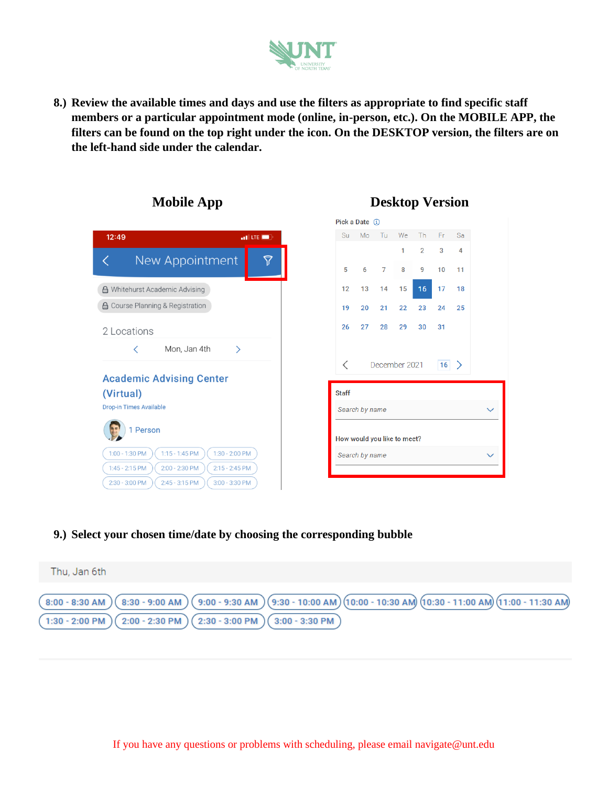

**8.) Review the available times and days and use the filters as appropriate to find specific staff members or a particular appointment mode (online, in-person, etc.). On the MOBILE APP, the filters can be found on the top right under the icon. On the DESKTOP version, the filters are on the left-hand side under the calendar.** 



### **Mobile App Desktop Version**

 $\overline{2}$ 

9  $10$ 11

 $16<sup>°</sup>$  $17$ 

23

30  $31$ 

24 25

 $16$  >

 $\checkmark$ 

Sa

 $\overline{4}$ 3

 $18$ 

**9.) Select your chosen time/date by choosing the corresponding bubble**